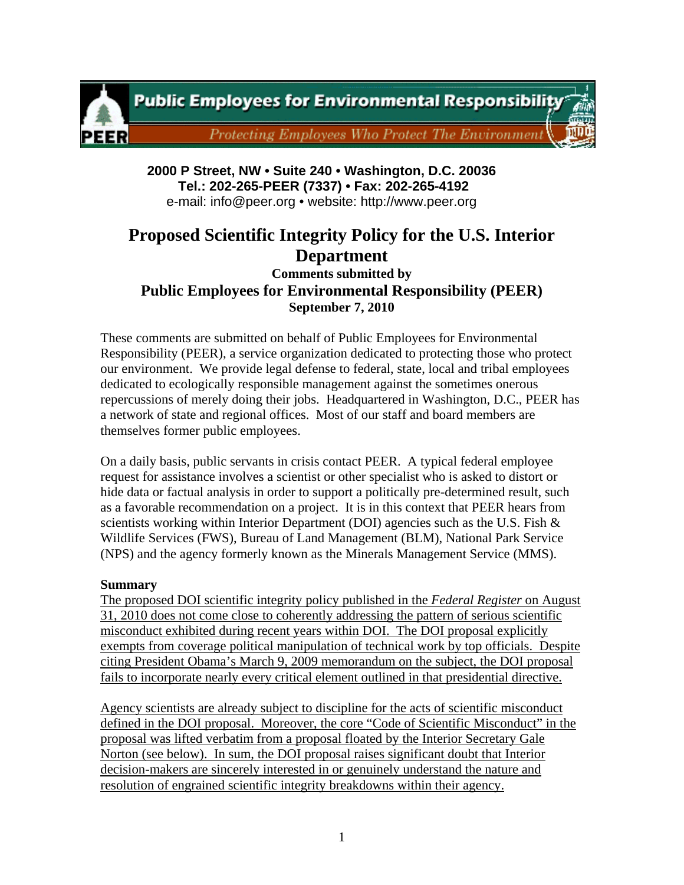

**2000 P Street, NW • Suite 240 • Washington, D.C. 20036 Tel.: 202-265-PEER (7337) • Fax: 202-265-4192** e-mail: info@peer.org • website: http://www.peer.org

# **Proposed Scientific Integrity Policy for the U.S. Interior Department**

**Comments submitted by Public Employees for Environmental Responsibility (PEER) September 7, 2010** 

These comments are submitted on behalf of Public Employees for Environmental Responsibility (PEER), a service organization dedicated to protecting those who protect our environment. We provide legal defense to federal, state, local and tribal employees dedicated to ecologically responsible management against the sometimes onerous repercussions of merely doing their jobs. Headquartered in Washington, D.C., PEER has a network of state and regional offices. Most of our staff and board members are themselves former public employees.

On a daily basis, public servants in crisis contact PEER. A typical federal employee request for assistance involves a scientist or other specialist who is asked to distort or hide data or factual analysis in order to support a politically pre-determined result, such as a favorable recommendation on a project. It is in this context that PEER hears from scientists working within Interior Department (DOI) agencies such as the U.S. Fish  $\&$ Wildlife Services (FWS), Bureau of Land Management (BLM), National Park Service (NPS) and the agency formerly known as the Minerals Management Service (MMS).

#### **Summary**

The proposed DOI scientific integrity policy published in the *Federal Register* on August 31, 2010 does not come close to coherently addressing the pattern of serious scientific misconduct exhibited during recent years within DOI. The DOI proposal explicitly exempts from coverage political manipulation of technical work by top officials. Despite citing President Obama's March 9, 2009 memorandum on the subject, the DOI proposal fails to incorporate nearly every critical element outlined in that presidential directive.

Agency scientists are already subject to discipline for the acts of scientific misconduct defined in the DOI proposal. Moreover, the core "Code of Scientific Misconduct" in the proposal was lifted verbatim from a proposal floated by the Interior Secretary Gale Norton (see below). In sum, the DOI proposal raises significant doubt that Interior decision-makers are sincerely interested in or genuinely understand the nature and resolution of engrained scientific integrity breakdowns within their agency.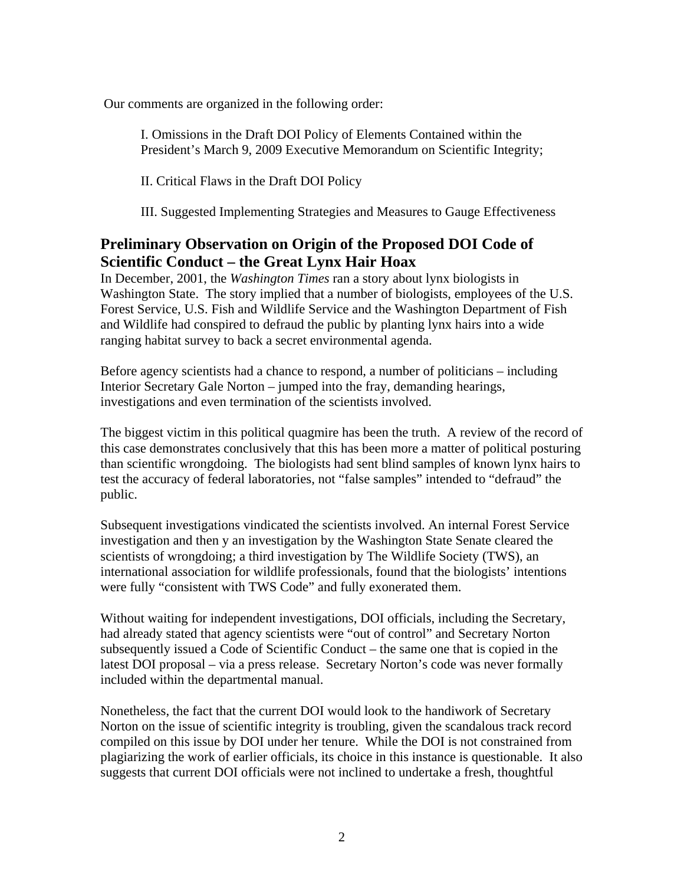Our comments are organized in the following order:

I. Omissions in the Draft DOI Policy of Elements Contained within the President's March 9, 2009 Executive Memorandum on Scientific Integrity;

II. Critical Flaws in the Draft DOI Policy

III. Suggested Implementing Strategies and Measures to Gauge Effectiveness

# **Preliminary Observation on Origin of the Proposed DOI Code of Scientific Conduct – the Great Lynx Hair Hoax**

In December, 2001, the *Washington Times* ran a story about lynx biologists in Washington State. The story implied that a number of biologists, employees of the U.S. Forest Service, U.S. Fish and Wildlife Service and the Washington Department of Fish and Wildlife had conspired to defraud the public by planting lynx hairs into a wide ranging habitat survey to back a secret environmental agenda.

Before agency scientists had a chance to respond, a number of politicians – including Interior Secretary Gale Norton – jumped into the fray, demanding hearings, investigations and even termination of the scientists involved.

The biggest victim in this political quagmire has been the truth. A review of the record of this case demonstrates conclusively that this has been more a matter of political posturing than scientific wrongdoing. The biologists had sent blind samples of known lynx hairs to test the accuracy of federal laboratories, not "false samples" intended to "defraud" the public.

Subsequent investigations vindicated the scientists involved. An internal Forest Service investigation and then y an investigation by the Washington State Senate cleared the scientists of wrongdoing; a third investigation by The Wildlife Society (TWS), an international association for wildlife professionals, found that the biologists' intentions were fully "consistent with TWS Code" and fully exonerated them.

Without waiting for independent investigations, DOI officials, including the Secretary, had already stated that agency scientists were "out of control" and Secretary Norton subsequently issued a Code of Scientific Conduct – the same one that is copied in the latest DOI proposal – via a press release. Secretary Norton's code was never formally included within the departmental manual.

Nonetheless, the fact that the current DOI would look to the handiwork of Secretary Norton on the issue of scientific integrity is troubling, given the scandalous track record compiled on this issue by DOI under her tenure. While the DOI is not constrained from plagiarizing the work of earlier officials, its choice in this instance is questionable. It also suggests that current DOI officials were not inclined to undertake a fresh, thoughtful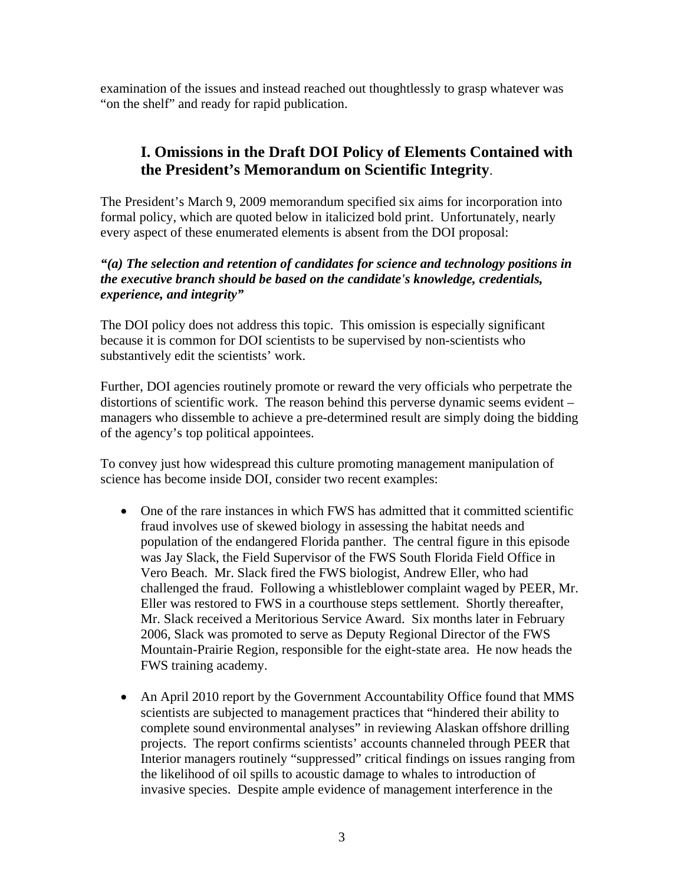examination of the issues and instead reached out thoughtlessly to grasp whatever was "on the shelf" and ready for rapid publication.

# **I. Omissions in the Draft DOI Policy of Elements Contained with the President's Memorandum on Scientific Integrity**.

The President's March 9, 2009 memorandum specified six aims for incorporation into formal policy, which are quoted below in italicized bold print. Unfortunately, nearly every aspect of these enumerated elements is absent from the DOI proposal:

#### *"(a) The selection and retention of candidates for science and technology positions in the executive branch should be based on the candidate's knowledge, credentials, experience, and integrity"*

The DOI policy does not address this topic. This omission is especially significant because it is common for DOI scientists to be supervised by non-scientists who substantively edit the scientists' work.

Further, DOI agencies routinely promote or reward the very officials who perpetrate the distortions of scientific work. The reason behind this perverse dynamic seems evident – managers who dissemble to achieve a pre-determined result are simply doing the bidding of the agency's top political appointees.

To convey just how widespread this culture promoting management manipulation of science has become inside DOI, consider two recent examples:

- One of the rare instances in which FWS has admitted that it committed scientific fraud involves use of skewed biology in assessing the habitat needs and population of the endangered Florida panther. The central figure in this episode was Jay Slack, the Field Supervisor of the FWS South Florida Field Office in Vero Beach. Mr. Slack fired the FWS biologist, Andrew Eller, who had challenged the fraud. Following a whistleblower complaint waged by PEER, Mr. Eller was restored to FWS in a courthouse steps settlement. Shortly thereafter, Mr. Slack received a Meritorious Service Award. Six months later in February 2006, Slack was promoted to serve as Deputy Regional Director of the FWS Mountain-Prairie Region, responsible for the eight-state area. He now heads the FWS training academy.
- An April 2010 report by the Government Accountability Office found that MMS scientists are subjected to management practices that "hindered their ability to complete sound environmental analyses" in reviewing Alaskan offshore drilling projects. The report confirms scientists' accounts channeled through PEER that Interior managers routinely "suppressed" critical findings on issues ranging from the likelihood of oil spills to acoustic damage to whales to introduction of invasive species. Despite ample evidence of management interference in the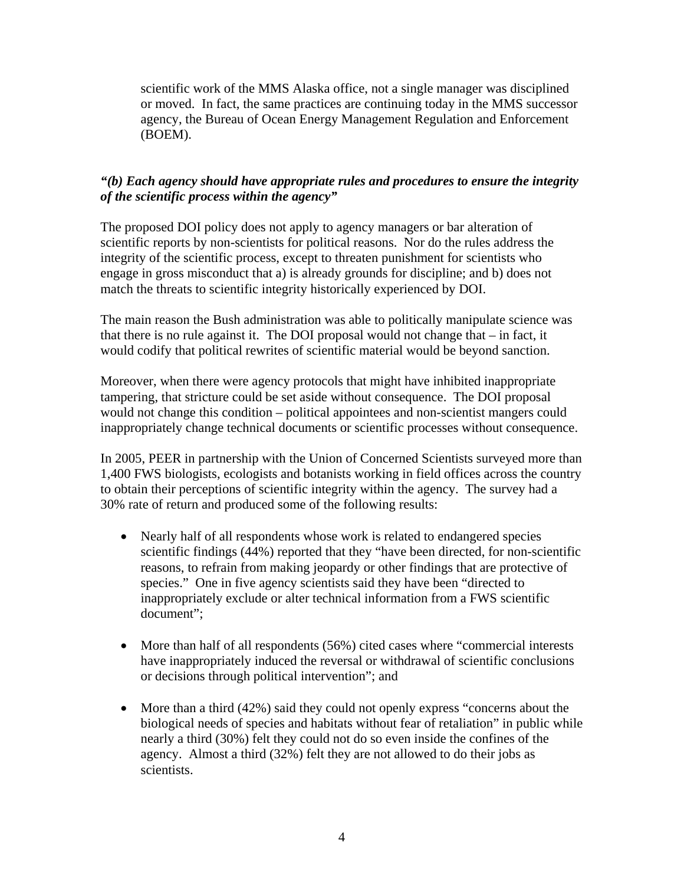scientific work of the MMS Alaska office, not a single manager was disciplined or moved. In fact, the same practices are continuing today in the MMS successor agency, the Bureau of Ocean Energy Management Regulation and Enforcement (BOEM).

# *"(b) Each agency should have appropriate rules and procedures to ensure the integrity of the scientific process within the agency"*

The proposed DOI policy does not apply to agency managers or bar alteration of scientific reports by non-scientists for political reasons. Nor do the rules address the integrity of the scientific process, except to threaten punishment for scientists who engage in gross misconduct that a) is already grounds for discipline; and b) does not match the threats to scientific integrity historically experienced by DOI.

The main reason the Bush administration was able to politically manipulate science was that there is no rule against it. The DOI proposal would not change that – in fact, it would codify that political rewrites of scientific material would be beyond sanction.

Moreover, when there were agency protocols that might have inhibited inappropriate tampering, that stricture could be set aside without consequence. The DOI proposal would not change this condition – political appointees and non-scientist mangers could inappropriately change technical documents or scientific processes without consequence.

In 2005, PEER in partnership with the Union of Concerned Scientists surveyed more than 1,400 FWS biologists, ecologists and botanists working in field offices across the country to obtain their perceptions of scientific integrity within the agency. The survey had a 30% rate of return and produced some of the following results:

- Nearly half of all respondents whose work is related to endangered species scientific findings (44%) reported that they "have been directed, for non-scientific reasons, to refrain from making jeopardy or other findings that are protective of species." One in five agency scientists said they have been "directed to inappropriately exclude or alter technical information from a FWS scientific document";
- More than half of all respondents (56%) cited cases where "commercial interests have inappropriately induced the reversal or withdrawal of scientific conclusions or decisions through political intervention"; and
- More than a third (42%) said they could not openly express "concerns about the biological needs of species and habitats without fear of retaliation" in public while nearly a third (30%) felt they could not do so even inside the confines of the agency. Almost a third (32%) felt they are not allowed to do their jobs as scientists.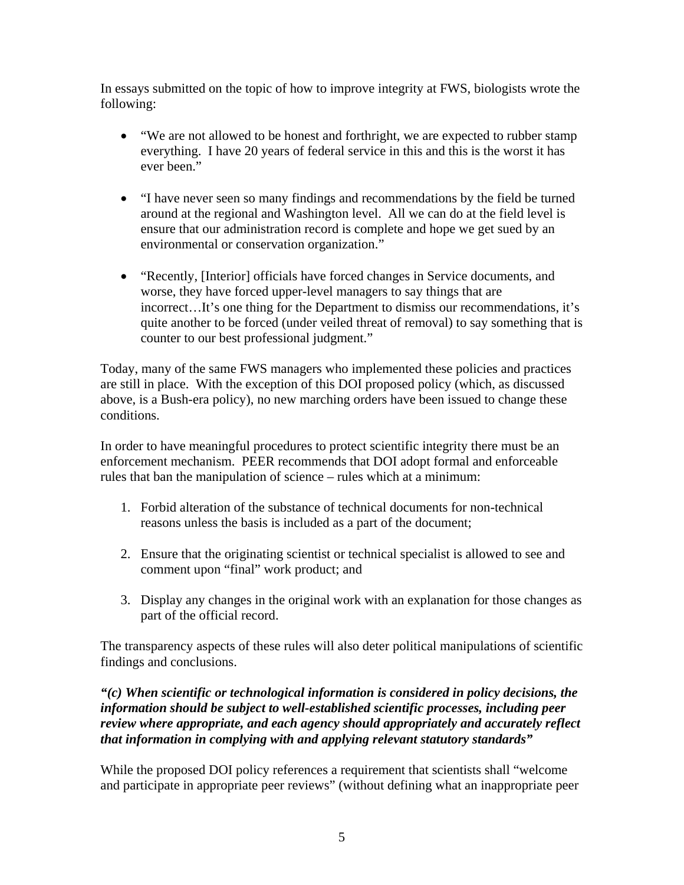In essays submitted on the topic of how to improve integrity at FWS, biologists wrote the following:

- "We are not allowed to be honest and forthright, we are expected to rubber stamp everything. I have 20 years of federal service in this and this is the worst it has ever been."
- "I have never seen so many findings and recommendations by the field be turned around at the regional and Washington level. All we can do at the field level is ensure that our administration record is complete and hope we get sued by an environmental or conservation organization."
- "Recently, [Interior] officials have forced changes in Service documents, and worse, they have forced upper-level managers to say things that are incorrect…It's one thing for the Department to dismiss our recommendations, it's quite another to be forced (under veiled threat of removal) to say something that is counter to our best professional judgment."

Today, many of the same FWS managers who implemented these policies and practices are still in place. With the exception of this DOI proposed policy (which, as discussed above, is a Bush-era policy), no new marching orders have been issued to change these conditions.

In order to have meaningful procedures to protect scientific integrity there must be an enforcement mechanism. PEER recommends that DOI adopt formal and enforceable rules that ban the manipulation of science – rules which at a minimum:

- 1. Forbid alteration of the substance of technical documents for non-technical reasons unless the basis is included as a part of the document;
- 2. Ensure that the originating scientist or technical specialist is allowed to see and comment upon "final" work product; and
- 3. Display any changes in the original work with an explanation for those changes as part of the official record.

The transparency aspects of these rules will also deter political manipulations of scientific findings and conclusions.

# *"(c) When scientific or technological information is considered in policy decisions, the information should be subject to well-established scientific processes, including peer review where appropriate, and each agency should appropriately and accurately reflect that information in complying with and applying relevant statutory standards"*

While the proposed DOI policy references a requirement that scientists shall "welcome and participate in appropriate peer reviews" (without defining what an inappropriate peer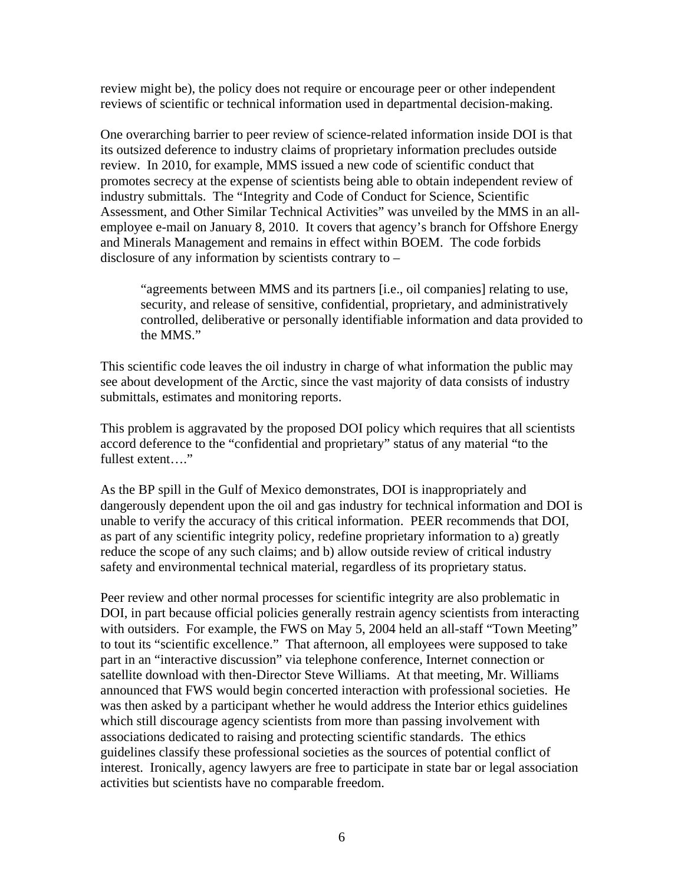review might be), the policy does not require or encourage peer or other independent reviews of scientific or technical information used in departmental decision-making.

One overarching barrier to peer review of science-related information inside DOI is that its outsized deference to industry claims of proprietary information precludes outside review. In 2010, for example, MMS issued a new code of scientific conduct that promotes secrecy at the expense of scientists being able to obtain independent review of industry submittals. The "Integrity and Code of Conduct for Science, Scientific Assessment, and Other Similar Technical Activities" was unveiled by the MMS in an allemployee e-mail on January 8, 2010. It covers that agency's branch for Offshore Energy and Minerals Management and remains in effect within BOEM. The code forbids disclosure of any information by scientists contrary to –

"agreements between MMS and its partners [i.e., oil companies] relating to use, security, and release of sensitive, confidential, proprietary, and administratively controlled, deliberative or personally identifiable information and data provided to the MMS."

This scientific code leaves the oil industry in charge of what information the public may see about development of the Arctic, since the vast majority of data consists of industry submittals, estimates and monitoring reports.

This problem is aggravated by the proposed DOI policy which requires that all scientists accord deference to the "confidential and proprietary" status of any material "to the fullest extent…."

As the BP spill in the Gulf of Mexico demonstrates, DOI is inappropriately and dangerously dependent upon the oil and gas industry for technical information and DOI is unable to verify the accuracy of this critical information. PEER recommends that DOI, as part of any scientific integrity policy, redefine proprietary information to a) greatly reduce the scope of any such claims; and b) allow outside review of critical industry safety and environmental technical material, regardless of its proprietary status.

Peer review and other normal processes for scientific integrity are also problematic in DOI, in part because official policies generally restrain agency scientists from interacting with outsiders. For example, the FWS on May 5, 2004 held an all-staff "Town Meeting" to tout its "scientific excellence." That afternoon, all employees were supposed to take part in an "interactive discussion" via telephone conference, Internet connection or satellite download with then-Director Steve Williams. At that meeting, Mr. Williams announced that FWS would begin concerted interaction with professional societies. He was then asked by a participant whether he would address the Interior ethics guidelines which still discourage agency scientists from more than passing involvement with associations dedicated to raising and protecting scientific standards. The ethics guidelines classify these professional societies as the sources of potential conflict of interest. Ironically, agency lawyers are free to participate in state bar or legal association activities but scientists have no comparable freedom.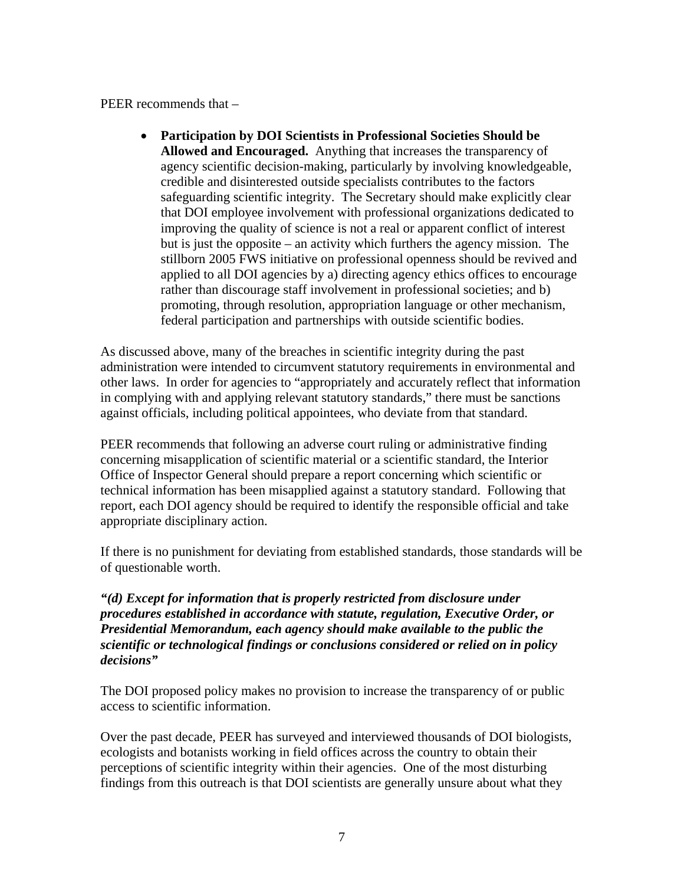PEER recommends that –

• **Participation by DOI Scientists in Professional Societies Should be Allowed and Encouraged.** Anything that increases the transparency of agency scientific decision-making, particularly by involving knowledgeable, credible and disinterested outside specialists contributes to the factors safeguarding scientific integrity. The Secretary should make explicitly clear that DOI employee involvement with professional organizations dedicated to improving the quality of science is not a real or apparent conflict of interest but is just the opposite – an activity which furthers the agency mission. The stillborn 2005 FWS initiative on professional openness should be revived and applied to all DOI agencies by a) directing agency ethics offices to encourage rather than discourage staff involvement in professional societies; and b) promoting, through resolution, appropriation language or other mechanism, federal participation and partnerships with outside scientific bodies.

As discussed above, many of the breaches in scientific integrity during the past administration were intended to circumvent statutory requirements in environmental and other laws. In order for agencies to "appropriately and accurately reflect that information in complying with and applying relevant statutory standards," there must be sanctions against officials, including political appointees, who deviate from that standard.

PEER recommends that following an adverse court ruling or administrative finding concerning misapplication of scientific material or a scientific standard, the Interior Office of Inspector General should prepare a report concerning which scientific or technical information has been misapplied against a statutory standard. Following that report, each DOI agency should be required to identify the responsible official and take appropriate disciplinary action.

If there is no punishment for deviating from established standards, those standards will be of questionable worth.

*"(d) Except for information that is properly restricted from disclosure under procedures established in accordance with statute, regulation, Executive Order, or Presidential Memorandum, each agency should make available to the public the scientific or technological findings or conclusions considered or relied on in policy decisions"* 

The DOI proposed policy makes no provision to increase the transparency of or public access to scientific information.

Over the past decade, PEER has surveyed and interviewed thousands of DOI biologists, ecologists and botanists working in field offices across the country to obtain their perceptions of scientific integrity within their agencies. One of the most disturbing findings from this outreach is that DOI scientists are generally unsure about what they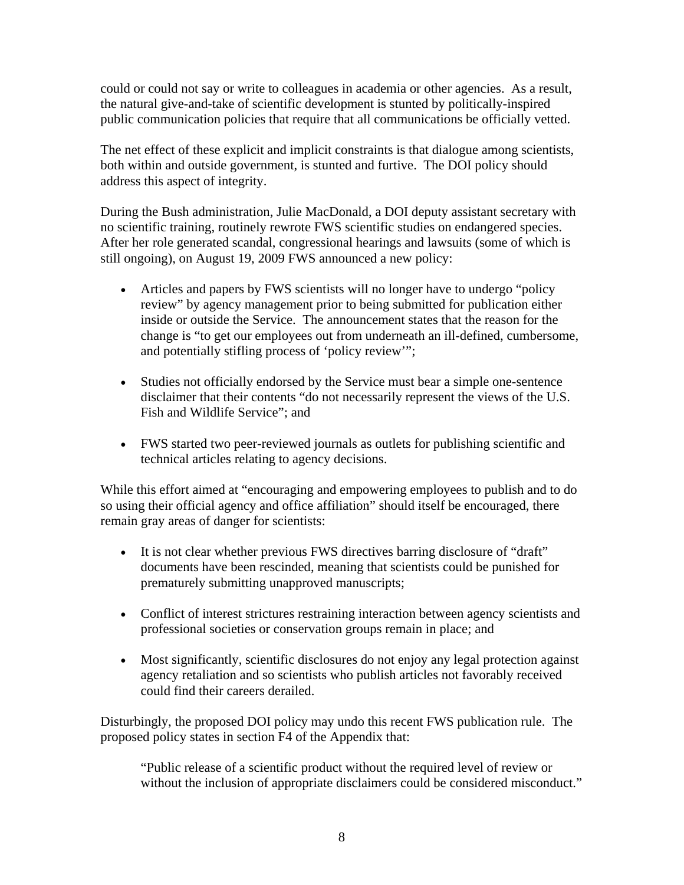could or could not say or write to colleagues in academia or other agencies. As a result, the natural give-and-take of scientific development is stunted by politically-inspired public communication policies that require that all communications be officially vetted.

The net effect of these explicit and implicit constraints is that dialogue among scientists, both within and outside government, is stunted and furtive. The DOI policy should address this aspect of integrity.

During the Bush administration, Julie MacDonald, a DOI deputy assistant secretary with no scientific training, routinely rewrote FWS scientific studies on endangered species. After her role generated scandal, congressional hearings and lawsuits (some of which is still ongoing), on August 19, 2009 FWS announced a new policy:

- Articles and papers by FWS scientists will no longer have to undergo "policy" review" by agency management prior to being submitted for publication either inside or outside the Service. The announcement states that the reason for the change is "to get our employees out from underneath an ill-defined, cumbersome, and potentially stifling process of 'policy review'";
- Studies not officially endorsed by the Service must bear a simple one-sentence disclaimer that their contents "do not necessarily represent the views of the U.S. Fish and Wildlife Service"; and
- FWS started two peer-reviewed journals as outlets for publishing scientific and technical articles relating to agency decisions.

While this effort aimed at "encouraging and empowering employees to publish and to do so using their official agency and office affiliation" should itself be encouraged, there remain gray areas of danger for scientists:

- It is not clear whether previous FWS directives barring disclosure of "draft" documents have been rescinded, meaning that scientists could be punished for prematurely submitting unapproved manuscripts;
- Conflict of interest strictures restraining interaction between agency scientists and professional societies or conservation groups remain in place; and
- Most significantly, scientific disclosures do not enjoy any legal protection against agency retaliation and so scientists who publish articles not favorably received could find their careers derailed.

Disturbingly, the proposed DOI policy may undo this recent FWS publication rule. The proposed policy states in section F4 of the Appendix that:

"Public release of a scientific product without the required level of review or without the inclusion of appropriate disclaimers could be considered misconduct."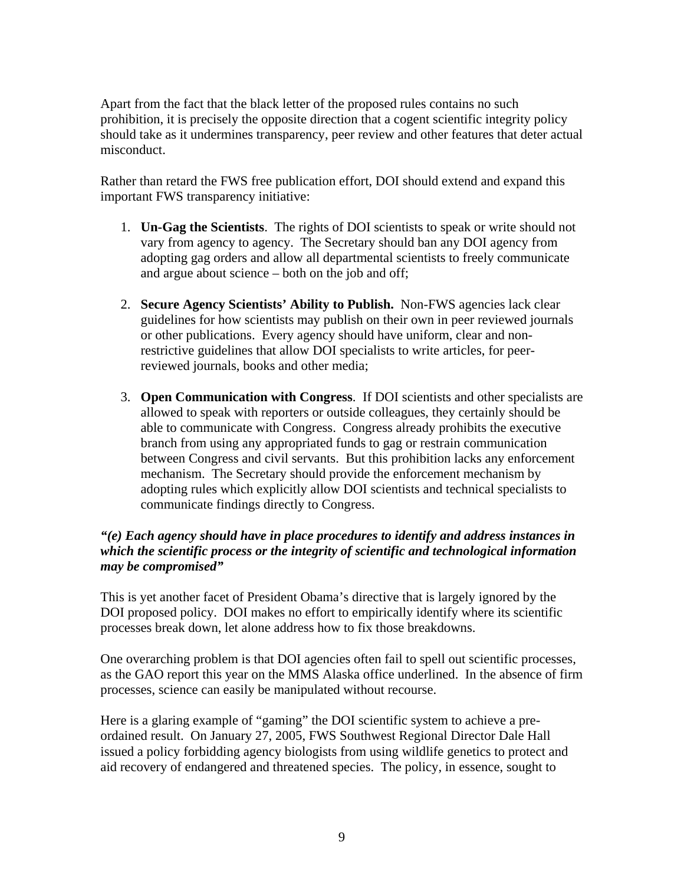Apart from the fact that the black letter of the proposed rules contains no such prohibition, it is precisely the opposite direction that a cogent scientific integrity policy should take as it undermines transparency, peer review and other features that deter actual misconduct.

Rather than retard the FWS free publication effort, DOI should extend and expand this important FWS transparency initiative:

- 1. **Un-Gag the Scientists**. The rights of DOI scientists to speak or write should not vary from agency to agency. The Secretary should ban any DOI agency from adopting gag orders and allow all departmental scientists to freely communicate and argue about science – both on the job and off;
- 2. **Secure Agency Scientists' Ability to Publish.** Non-FWS agencies lack clear guidelines for how scientists may publish on their own in peer reviewed journals or other publications. Every agency should have uniform, clear and nonrestrictive guidelines that allow DOI specialists to write articles, for peerreviewed journals, books and other media;
- 3. **Open Communication with Congress**. If DOI scientists and other specialists are allowed to speak with reporters or outside colleagues, they certainly should be able to communicate with Congress. Congress already prohibits the executive branch from using any appropriated funds to gag or restrain communication between Congress and civil servants. But this prohibition lacks any enforcement mechanism. The Secretary should provide the enforcement mechanism by adopting rules which explicitly allow DOI scientists and technical specialists to communicate findings directly to Congress.

# *"(e) Each agency should have in place procedures to identify and address instances in which the scientific process or the integrity of scientific and technological information may be compromised"*

This is yet another facet of President Obama's directive that is largely ignored by the DOI proposed policy. DOI makes no effort to empirically identify where its scientific processes break down, let alone address how to fix those breakdowns.

One overarching problem is that DOI agencies often fail to spell out scientific processes, as the GAO report this year on the MMS Alaska office underlined. In the absence of firm processes, science can easily be manipulated without recourse.

Here is a glaring example of "gaming" the DOI scientific system to achieve a preordained result. On January 27, 2005, FWS Southwest Regional Director Dale Hall issued a policy forbidding agency biologists from using wildlife genetics to protect and aid recovery of endangered and threatened species. The policy, in essence, sought to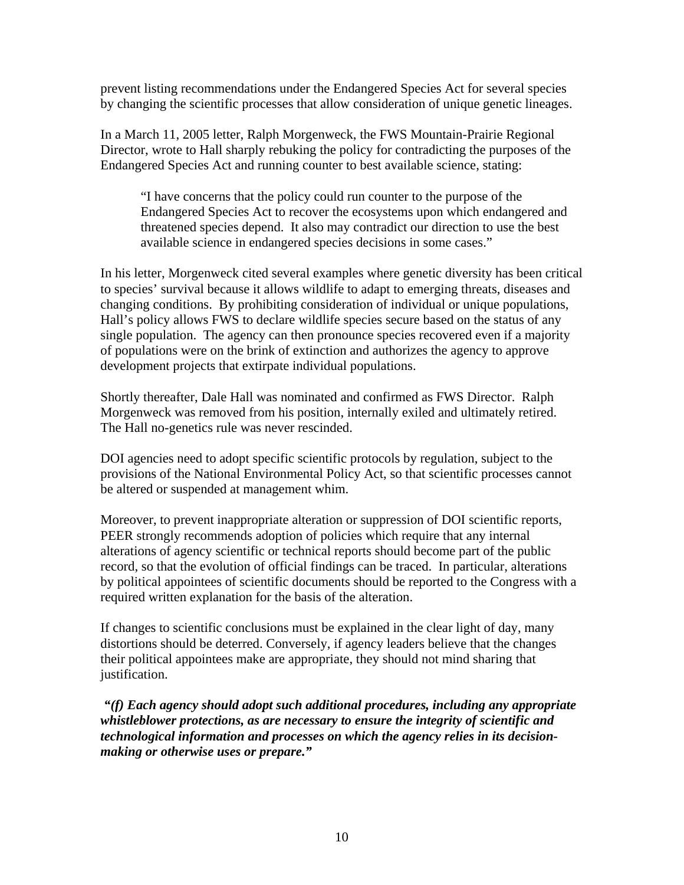prevent listing recommendations under the Endangered Species Act for several species by changing the scientific processes that allow consideration of unique genetic lineages.

In a March 11, 2005 letter, Ralph Morgenweck, the FWS Mountain-Prairie Regional Director, wrote to Hall sharply rebuking the policy for contradicting the purposes of the Endangered Species Act and running counter to best available science, stating:

"I have concerns that the policy could run counter to the purpose of the Endangered Species Act to recover the ecosystems upon which endangered and threatened species depend. It also may contradict our direction to use the best available science in endangered species decisions in some cases."

In his letter, Morgenweck cited several examples where genetic diversity has been critical to species' survival because it allows wildlife to adapt to emerging threats, diseases and changing conditions. By prohibiting consideration of individual or unique populations, Hall's policy allows FWS to declare wildlife species secure based on the status of any single population. The agency can then pronounce species recovered even if a majority of populations were on the brink of extinction and authorizes the agency to approve development projects that extirpate individual populations.

Shortly thereafter, Dale Hall was nominated and confirmed as FWS Director. Ralph Morgenweck was removed from his position, internally exiled and ultimately retired. The Hall no-genetics rule was never rescinded.

DOI agencies need to adopt specific scientific protocols by regulation, subject to the provisions of the National Environmental Policy Act, so that scientific processes cannot be altered or suspended at management whim.

Moreover, to prevent inappropriate alteration or suppression of DOI scientific reports, PEER strongly recommends adoption of policies which require that any internal alterations of agency scientific or technical reports should become part of the public record, so that the evolution of official findings can be traced. In particular, alterations by political appointees of scientific documents should be reported to the Congress with a required written explanation for the basis of the alteration.

If changes to scientific conclusions must be explained in the clear light of day, many distortions should be deterred. Conversely, if agency leaders believe that the changes their political appointees make are appropriate, they should not mind sharing that justification.

 *"(f) Each agency should adopt such additional procedures, including any appropriate whistleblower protections, as are necessary to ensure the integrity of scientific and technological information and processes on which the agency relies in its decisionmaking or otherwise uses or prepare."*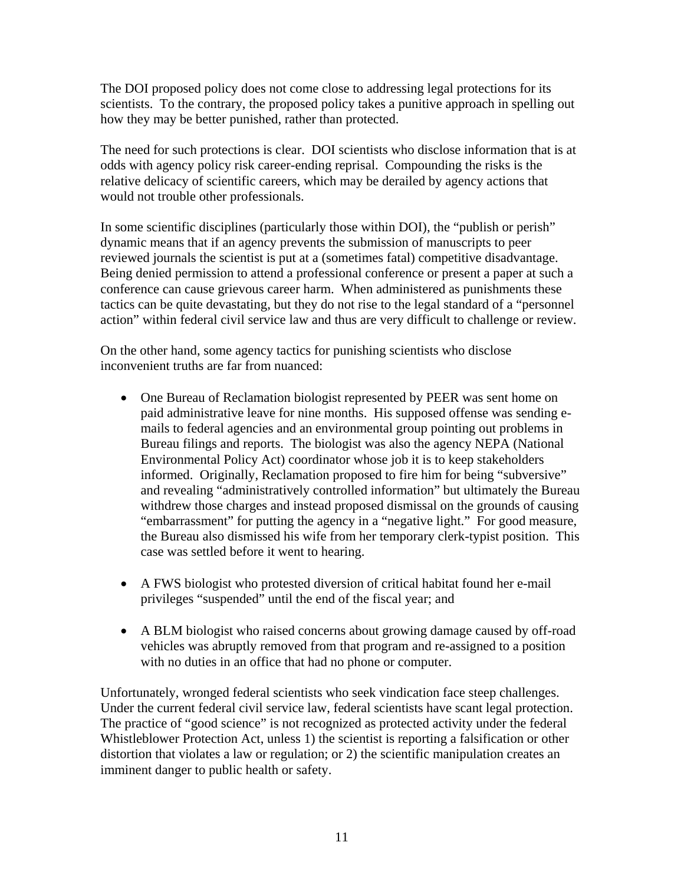The DOI proposed policy does not come close to addressing legal protections for its scientists. To the contrary, the proposed policy takes a punitive approach in spelling out how they may be better punished, rather than protected.

The need for such protections is clear. DOI scientists who disclose information that is at odds with agency policy risk career-ending reprisal. Compounding the risks is the relative delicacy of scientific careers, which may be derailed by agency actions that would not trouble other professionals.

In some scientific disciplines (particularly those within DOI), the "publish or perish" dynamic means that if an agency prevents the submission of manuscripts to peer reviewed journals the scientist is put at a (sometimes fatal) competitive disadvantage. Being denied permission to attend a professional conference or present a paper at such a conference can cause grievous career harm. When administered as punishments these tactics can be quite devastating, but they do not rise to the legal standard of a "personnel action" within federal civil service law and thus are very difficult to challenge or review.

On the other hand, some agency tactics for punishing scientists who disclose inconvenient truths are far from nuanced:

- One Bureau of Reclamation biologist represented by PEER was sent home on paid administrative leave for nine months. His supposed offense was sending emails to federal agencies and an environmental group pointing out problems in Bureau filings and reports. The biologist was also the agency NEPA (National Environmental Policy Act) coordinator whose job it is to keep stakeholders informed. Originally, Reclamation proposed to fire him for being "subversive" and revealing "administratively controlled information" but ultimately the Bureau withdrew those charges and instead proposed dismissal on the grounds of causing "embarrassment" for putting the agency in a "negative light." For good measure, the Bureau also dismissed his wife from her temporary clerk-typist position. This case was settled before it went to hearing.
- A FWS biologist who protested diversion of critical habitat found her e-mail privileges "suspended" until the end of the fiscal year; and
- A BLM biologist who raised concerns about growing damage caused by off-road vehicles was abruptly removed from that program and re-assigned to a position with no duties in an office that had no phone or computer.

Unfortunately, wronged federal scientists who seek vindication face steep challenges. Under the current federal civil service law, federal scientists have scant legal protection. The practice of "good science" is not recognized as protected activity under the federal Whistleblower Protection Act, unless 1) the scientist is reporting a falsification or other distortion that violates a law or regulation; or 2) the scientific manipulation creates an imminent danger to public health or safety.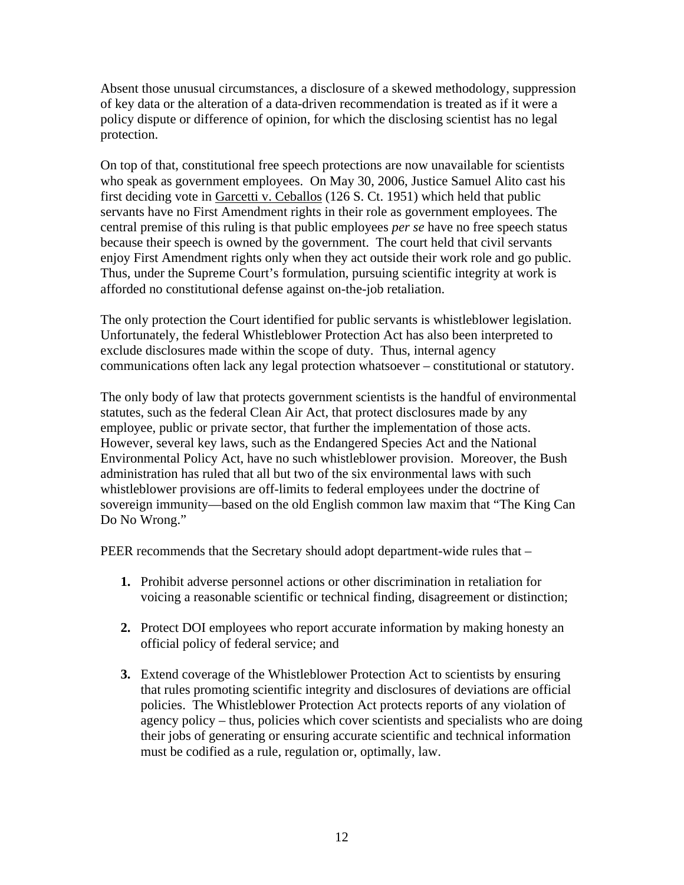Absent those unusual circumstances, a disclosure of a skewed methodology, suppression of key data or the alteration of a data-driven recommendation is treated as if it were a policy dispute or difference of opinion, for which the disclosing scientist has no legal protection.

On top of that, constitutional free speech protections are now unavailable for scientists who speak as government employees. On May 30, 2006, Justice Samuel Alito cast his first deciding vote in Garcetti v. Ceballos (126 S. Ct. 1951) which held that public servants have no First Amendment rights in their role as government employees. The central premise of this ruling is that public employees *per se* have no free speech status because their speech is owned by the government. The court held that civil servants enjoy First Amendment rights only when they act outside their work role and go public. Thus, under the Supreme Court's formulation, pursuing scientific integrity at work is afforded no constitutional defense against on-the-job retaliation.

The only protection the Court identified for public servants is whistleblower legislation. Unfortunately, the federal Whistleblower Protection Act has also been interpreted to exclude disclosures made within the scope of duty. Thus, internal agency communications often lack any legal protection whatsoever – constitutional or statutory.

The only body of law that protects government scientists is the handful of environmental statutes, such as the federal Clean Air Act, that protect disclosures made by any employee, public or private sector, that further the implementation of those acts. However, several key laws, such as the Endangered Species Act and the National Environmental Policy Act, have no such whistleblower provision. Moreover, the Bush administration has ruled that all but two of the six environmental laws with such whistleblower provisions are off-limits to federal employees under the doctrine of sovereign immunity—based on the old English common law maxim that "The King Can Do No Wrong."

PEER recommends that the Secretary should adopt department-wide rules that –

- **1.** Prohibit adverse personnel actions or other discrimination in retaliation for voicing a reasonable scientific or technical finding, disagreement or distinction;
- **2.** Protect DOI employees who report accurate information by making honesty an official policy of federal service; and
- **3.** Extend coverage of the Whistleblower Protection Act to scientists by ensuring that rules promoting scientific integrity and disclosures of deviations are official policies. The Whistleblower Protection Act protects reports of any violation of agency policy – thus, policies which cover scientists and specialists who are doing their jobs of generating or ensuring accurate scientific and technical information must be codified as a rule, regulation or, optimally, law.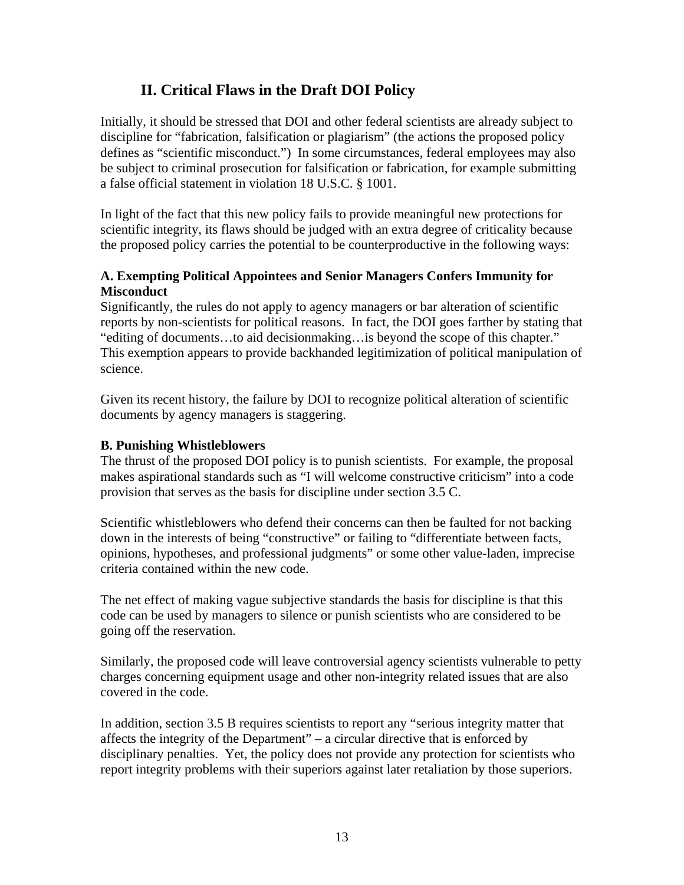# **II. Critical Flaws in the Draft DOI Policy**

Initially, it should be stressed that DOI and other federal scientists are already subject to discipline for "fabrication, falsification or plagiarism" (the actions the proposed policy defines as "scientific misconduct.") In some circumstances, federal employees may also be subject to criminal prosecution for falsification or fabrication, for example submitting a false official statement in violation 18 U.S.C. § 1001.

In light of the fact that this new policy fails to provide meaningful new protections for scientific integrity, its flaws should be judged with an extra degree of criticality because the proposed policy carries the potential to be counterproductive in the following ways:

# **A. Exempting Political Appointees and Senior Managers Confers Immunity for Misconduct**

Significantly, the rules do not apply to agency managers or bar alteration of scientific reports by non-scientists for political reasons. In fact, the DOI goes farther by stating that "editing of documents…to aid decisionmaking…is beyond the scope of this chapter." This exemption appears to provide backhanded legitimization of political manipulation of science.

Given its recent history, the failure by DOI to recognize political alteration of scientific documents by agency managers is staggering.

# **B. Punishing Whistleblowers**

The thrust of the proposed DOI policy is to punish scientists. For example, the proposal makes aspirational standards such as "I will welcome constructive criticism" into a code provision that serves as the basis for discipline under section 3.5 C.

Scientific whistleblowers who defend their concerns can then be faulted for not backing down in the interests of being "constructive" or failing to "differentiate between facts, opinions, hypotheses, and professional judgments" or some other value-laden, imprecise criteria contained within the new code.

The net effect of making vague subjective standards the basis for discipline is that this code can be used by managers to silence or punish scientists who are considered to be going off the reservation.

Similarly, the proposed code will leave controversial agency scientists vulnerable to petty charges concerning equipment usage and other non-integrity related issues that are also covered in the code.

In addition, section 3.5 B requires scientists to report any "serious integrity matter that affects the integrity of the Department" – a circular directive that is enforced by disciplinary penalties. Yet, the policy does not provide any protection for scientists who report integrity problems with their superiors against later retaliation by those superiors.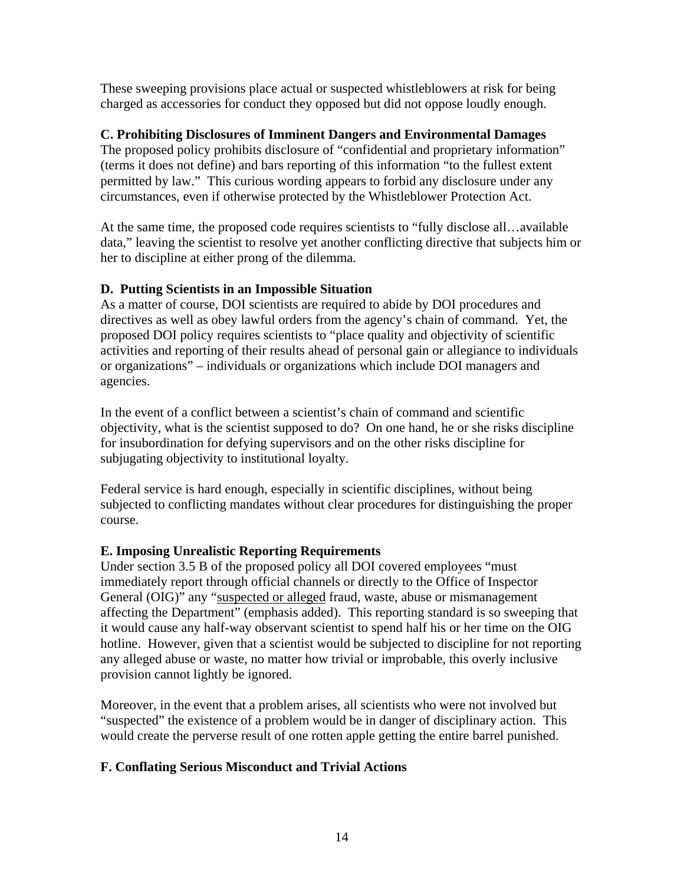These sweeping provisions place actual or suspected whistleblowers at risk for being charged as accessories for conduct they opposed but did not oppose loudly enough.

#### **C. Prohibiting Disclosures of Imminent Dangers and Environmental Damages**

The proposed policy prohibits disclosure of "confidential and proprietary information" (terms it does not define) and bars reporting of this information "to the fullest extent permitted by law." This curious wording appears to forbid any disclosure under any circumstances, even if otherwise protected by the Whistleblower Protection Act.

At the same time, the proposed code requires scientists to "fully disclose all…available data," leaving the scientist to resolve yet another conflicting directive that subjects him or her to discipline at either prong of the dilemma.

#### **D. Putting Scientists in an Impossible Situation**

As a matter of course, DOI scientists are required to abide by DOI procedures and directives as well as obey lawful orders from the agency's chain of command. Yet, the proposed DOI policy requires scientists to "place quality and objectivity of scientific activities and reporting of their results ahead of personal gain or allegiance to individuals or organizations" – individuals or organizations which include DOI managers and agencies.

In the event of a conflict between a scientist's chain of command and scientific objectivity, what is the scientist supposed to do? On one hand, he or she risks discipline for insubordination for defying supervisors and on the other risks discipline for subjugating objectivity to institutional loyalty.

Federal service is hard enough, especially in scientific disciplines, without being subjected to conflicting mandates without clear procedures for distinguishing the proper course.

# **E. Imposing Unrealistic Reporting Requirements**

Under section 3.5 B of the proposed policy all DOI covered employees "must immediately report through official channels or directly to the Office of Inspector General (OIG)" any "suspected or alleged fraud, waste, abuse or mismanagement affecting the Department" (emphasis added). This reporting standard is so sweeping that it would cause any half-way observant scientist to spend half his or her time on the OIG hotline. However, given that a scientist would be subjected to discipline for not reporting any alleged abuse or waste, no matter how trivial or improbable, this overly inclusive provision cannot lightly be ignored.

Moreover, in the event that a problem arises, all scientists who were not involved but "suspected" the existence of a problem would be in danger of disciplinary action. This would create the perverse result of one rotten apple getting the entire barrel punished.

# **F. Conflating Serious Misconduct and Trivial Actions**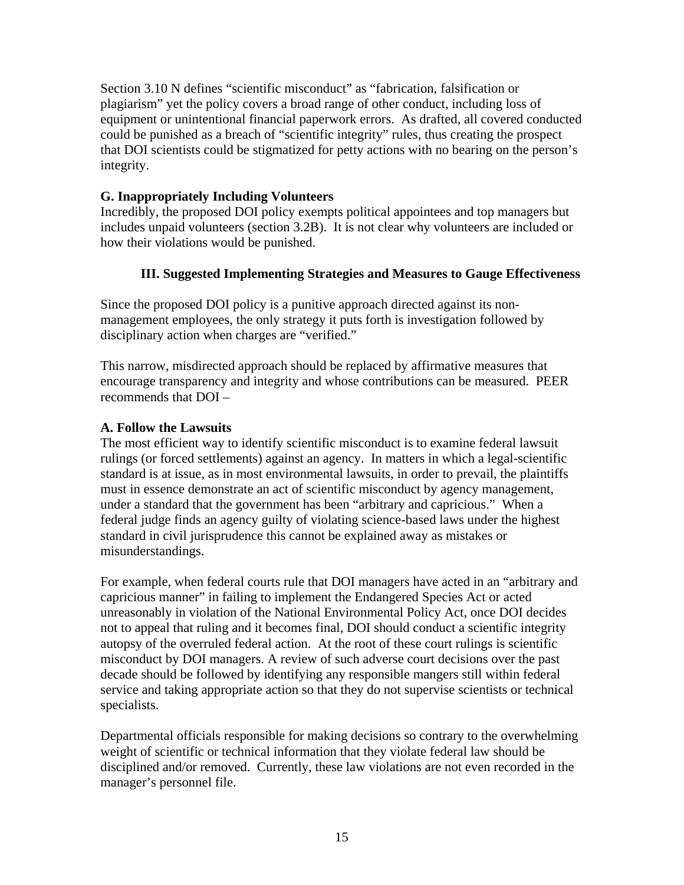Section 3.10 N defines "scientific misconduct" as "fabrication, falsification or plagiarism" yet the policy covers a broad range of other conduct, including loss of equipment or unintentional financial paperwork errors. As drafted, all covered conducted could be punished as a breach of "scientific integrity" rules, thus creating the prospect that DOI scientists could be stigmatized for petty actions with no bearing on the person's integrity.

# **G. Inappropriately Including Volunteers**

Incredibly, the proposed DOI policy exempts political appointees and top managers but includes unpaid volunteers (section 3.2B). It is not clear why volunteers are included or how their violations would be punished.

# **III. Suggested Implementing Strategies and Measures to Gauge Effectiveness**

Since the proposed DOI policy is a punitive approach directed against its nonmanagement employees, the only strategy it puts forth is investigation followed by disciplinary action when charges are "verified."

This narrow, misdirected approach should be replaced by affirmative measures that encourage transparency and integrity and whose contributions can be measured. PEER recommends that DOI –

#### **A. Follow the Lawsuits**

The most efficient way to identify scientific misconduct is to examine federal lawsuit rulings (or forced settlements) against an agency. In matters in which a legal-scientific standard is at issue, as in most environmental lawsuits, in order to prevail, the plaintiffs must in essence demonstrate an act of scientific misconduct by agency management, under a standard that the government has been "arbitrary and capricious." When a federal judge finds an agency guilty of violating science-based laws under the highest standard in civil jurisprudence this cannot be explained away as mistakes or misunderstandings.

For example, when federal courts rule that DOI managers have acted in an "arbitrary and capricious manner" in failing to implement the Endangered Species Act or acted unreasonably in violation of the National Environmental Policy Act, once DOI decides not to appeal that ruling and it becomes final, DOI should conduct a scientific integrity autopsy of the overruled federal action. At the root of these court rulings is scientific misconduct by DOI managers. A review of such adverse court decisions over the past decade should be followed by identifying any responsible mangers still within federal service and taking appropriate action so that they do not supervise scientists or technical specialists.

Departmental officials responsible for making decisions so contrary to the overwhelming weight of scientific or technical information that they violate federal law should be disciplined and/or removed. Currently, these law violations are not even recorded in the manager's personnel file.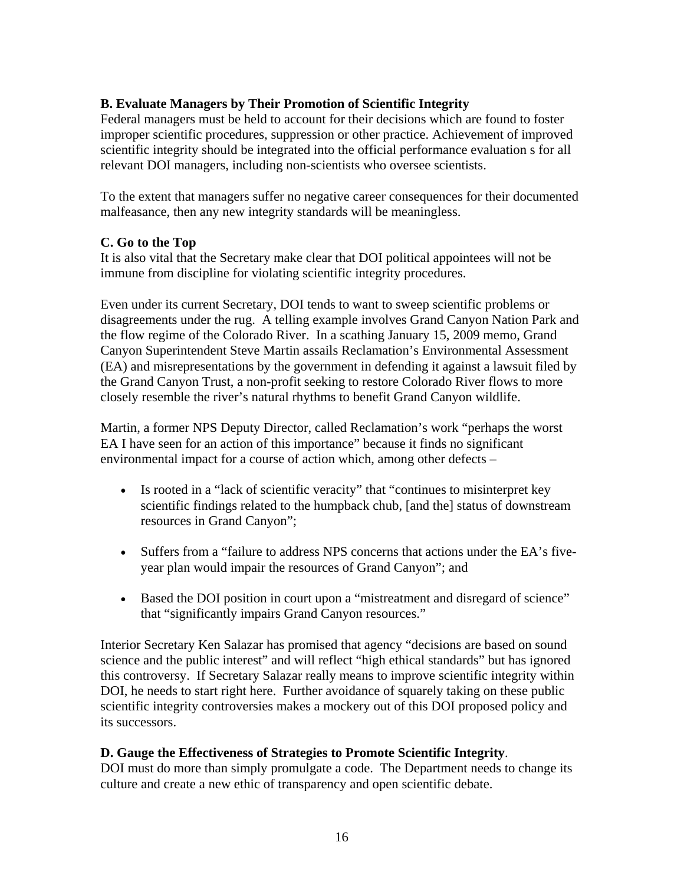# **B. Evaluate Managers by Their Promotion of Scientific Integrity**

Federal managers must be held to account for their decisions which are found to foster improper scientific procedures, suppression or other practice. Achievement of improved scientific integrity should be integrated into the official performance evaluation s for all relevant DOI managers, including non-scientists who oversee scientists.

To the extent that managers suffer no negative career consequences for their documented malfeasance, then any new integrity standards will be meaningless.

# **C. Go to the Top**

It is also vital that the Secretary make clear that DOI political appointees will not be immune from discipline for violating scientific integrity procedures.

Even under its current Secretary, DOI tends to want to sweep scientific problems or disagreements under the rug. A telling example involves Grand Canyon Nation Park and the flow regime of the Colorado River. In a scathing January 15, 2009 memo, Grand Canyon Superintendent Steve Martin assails Reclamation's Environmental Assessment (EA) and misrepresentations by the government in defending it against a lawsuit filed by the Grand Canyon Trust, a non-profit seeking to restore Colorado River flows to more closely resemble the river's natural rhythms to benefit Grand Canyon wildlife.

Martin, a former NPS Deputy Director, called Reclamation's work "perhaps the worst EA I have seen for an action of this importance" because it finds no significant environmental impact for a course of action which, among other defects –

- Is rooted in a "lack of scientific veracity" that "continues to misinterpret key scientific findings related to the humpback chub, [and the] status of downstream resources in Grand Canyon";
- Suffers from a "failure to address NPS concerns that actions under the EA's fiveyear plan would impair the resources of Grand Canyon"; and
- Based the DOI position in court upon a "mistreatment and disregard of science" that "significantly impairs Grand Canyon resources."

Interior Secretary Ken Salazar has promised that agency "decisions are based on sound science and the public interest" and will reflect "high ethical standards" but has ignored this controversy. If Secretary Salazar really means to improve scientific integrity within DOI, he needs to start right here. Further avoidance of squarely taking on these public scientific integrity controversies makes a mockery out of this DOI proposed policy and its successors.

# **D. Gauge the Effectiveness of Strategies to Promote Scientific Integrity**.

DOI must do more than simply promulgate a code. The Department needs to change its culture and create a new ethic of transparency and open scientific debate.